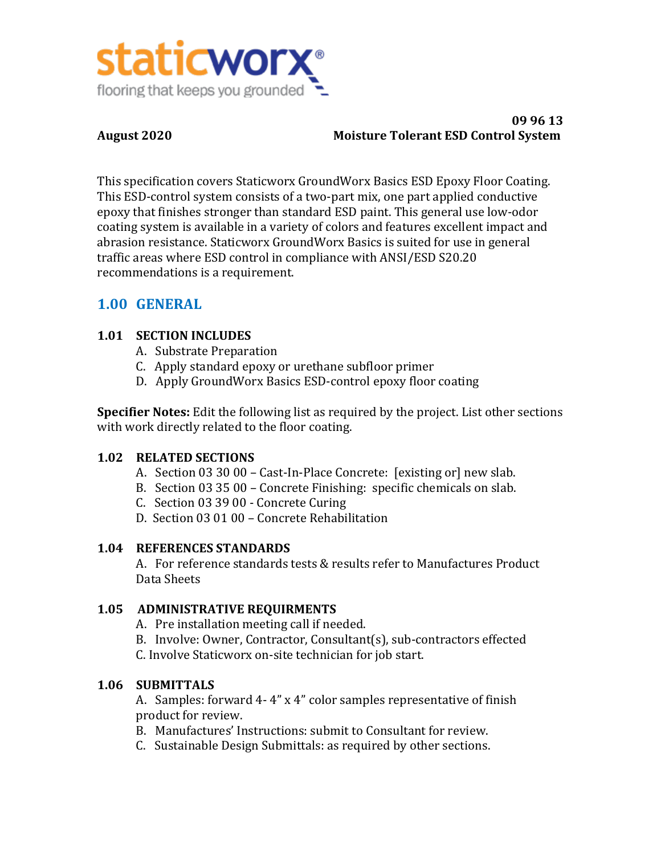

#### **09 96 13 August 2020 Moisture Tolerant ESD Control System**

This specification covers Staticworx GroundWorx Basics ESD Epoxy Floor Coating. This ESD-control system consists of a two-part mix, one part applied conductive epoxy that finishes stronger than standard ESD paint. This general use low-odor coating system is available in a variety of colors and features excellent impact and abrasion resistance. Staticworx GroundWorx Basics is suited for use in general traffic areas where ESD control in compliance with ANSI/ESD S20.20 recommendations is a requirement.

# **1.00 GENERAL**

# **1.01 SECTION INCLUDES**

- A. Substrate Preparation
- C. Apply standard epoxy or urethane subfloor primer
- D. Apply GroundWorx Basics ESD-control epoxy floor coating

**Specifier Notes:** Edit the following list as required by the project. List other sections with work directly related to the floor coating.

# **1.02 RELATED SECTIONS**

- A. Section 03 30 00 Cast-In-Place Concrete: [existing or] new slab.
- B. Section 03 35 00 Concrete Finishing: specific chemicals on slab.
- C. Section 03 39 00 Concrete Curing
- D. Section 03 01 00 Concrete Rehabilitation

# **1.04 REFERENCES STANDARDS**

A. For reference standards tests & results refer to Manufactures Product Data Sheets

# **1.05 ADMINISTRATIVE REQUIRMENTS**

- A. Pre installation meeting call if needed.
- B. Involve: Owner, Contractor, Consultant(s), sub-contractors effected
- C. Involve Staticworx on-site technician for job start.

# **1.06 SUBMITTALS**

A. Samples: forward  $4-4$ " x  $4$ " color samples representative of finish product for review.

- B. Manufactures' Instructions: submit to Consultant for review.
- C. Sustainable Design Submittals: as required by other sections.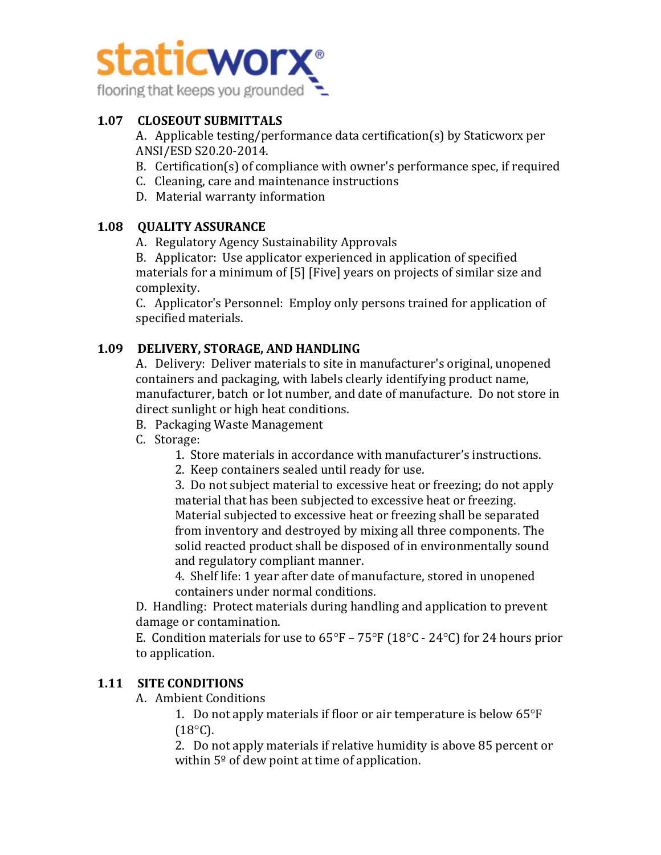

## **1.07 CLOSEOUT SUBMITTALS**

A. Applicable testing/performance data certification(s) by Staticworx per ANSI/ESD S20.20-2014.

- B. Certification(s) of compliance with owner's performance spec, if required
- C. Cleaning, care and maintenance instructions
- D. Material warranty information

### **1.08 QUALITY ASSURANCE**

A. Regulatory Agency Sustainability Approvals

B. Applicator: Use applicator experienced in application of specified materials for a minimum of  $[5]$  [Five] years on projects of similar size and complexity. 

C. Applicator's Personnel: Employ only persons trained for application of specified materials.

#### **1.09 DELIVERY, STORAGE, AND HANDLING**

A. Delivery: Deliver materials to site in manufacturer's original, unopened containers and packaging, with labels clearly identifying product name, manufacturer, batch or lot number, and date of manufacture. Do not store in direct sunlight or high heat conditions.

- B. Packaging Waste Management
- C. Storage:
	- 1. Store materials in accordance with manufacturer's instructions.
	- 2. Keep containers sealed until ready for use.

3. Do not subject material to excessive heat or freezing; do not apply material that has been subjected to excessive heat or freezing. Material subjected to excessive heat or freezing shall be separated from inventory and destroyed by mixing all three components. The solid reacted product shall be disposed of in environmentally sound and regulatory compliant manner.

4. Shelf life: 1 year after date of manufacture, stored in unopened containers under normal conditions.

D. Handling: Protect materials during handling and application to prevent damage or contamination.

E. Condition materials for use to  $65^{\circ}F - 75^{\circ}F (18^{\circ}C - 24^{\circ}C)$  for 24 hours prior to application.

# **1.11 SITE CONDITIONS**

A. Ambient Conditions

1. Do not apply materials if floor or air temperature is below  $65^{\circ}F$  $(18^{\circ}C)$ .

2. Do not apply materials if relative humidity is above 85 percent or within  $5^{\circ}$  of dew point at time of application.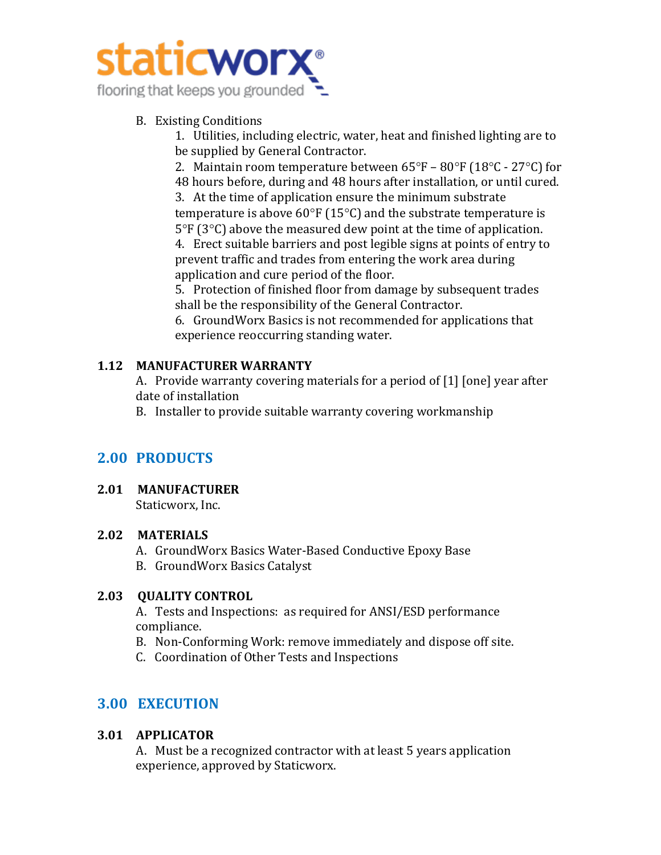

# B. Existing Conditions

1. Utilities, including electric, water, heat and finished lighting are to be supplied by General Contractor.

2. Maintain room temperature between  $65^{\circ}F - 80^{\circ}F$  (18°C - 27°C) for 48 hours before, during and 48 hours after installation, or until cured. 3. At the time of application ensure the minimum substrate

temperature is above  $60^{\circ}F(15^{\circ}C)$  and the substrate temperature is  $5^{\circ}F(3^{\circ}C)$  above the measured dew point at the time of application.

4. Erect suitable barriers and post legible signs at points of entry to prevent traffic and trades from entering the work area during application and cure period of the floor.

5. Protection of finished floor from damage by subsequent trades shall be the responsibility of the General Contractor.

6. GroundWorx Basics is not recommended for applications that experience reoccurring standing water.

# **1.12 MANUFACTURER WARRANTY**

A. Provide warranty covering materials for a period of [1] [one] year after date of installation

B. Installer to provide suitable warranty covering workmanship

# **2.00 PRODUCTS**

# **2.01 MANUFACTURER**

Staticworx, Inc.

# **2.02 MATERIALS**

- A. GroundWorx Basics Water-Based Conductive Epoxy Base
- B. GroundWorx Basics Catalyst

# **2.03 OUALITY CONTROL**

A. Tests and Inspections: as required for ANSI/ESD performance compliance.

- B. Non-Conforming Work: remove immediately and dispose off site.
- C. Coordination of Other Tests and Inspections

# **3.00 EXECUTION**

# **3.01 APPLICATOR**

A. Must be a recognized contractor with at least 5 years application experience, approved by Staticworx.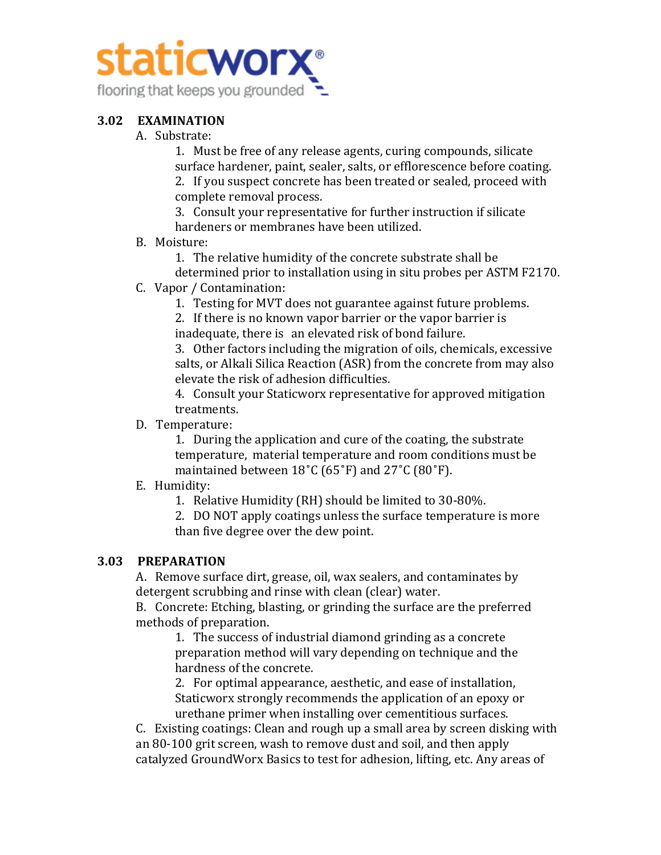

#### **3.02 EXAMINATION**

A. Substrate:

1. Must be free of any release agents, curing compounds, silicate surface hardener, paint, sealer, salts, or efflorescence before coating. 2. If you suspect concrete has been treated or sealed, proceed with complete removal process.

3. Consult your representative for further instruction if silicate hardeners or membranes have been utilized.

- B. Moisture:
	- 1. The relative humidity of the concrete substrate shall be
	- determined prior to installation using in situ probes per ASTM F2170.
- C. Vapor / Contamination:
	- 1. Testing for MVT does not guarantee against future problems.

2. If there is no known vapor barrier or the vapor barrier is inadequate, there is an elevated risk of bond failure.

3. Other factors including the migration of oils, chemicals, excessive salts, or Alkali Silica Reaction (ASR) from the concrete from may also elevate the risk of adhesion difficulties.

4. Consult your Staticworx representative for approved mitigation treatments.

D. Temperature:

1. During the application and cure of the coating, the substrate temperature, material temperature and room conditions must be maintained between  $18^{\circ}$ C (65 $^{\circ}$ F) and 27 $^{\circ}$ C (80 $^{\circ}$ F).

#### E. Humidity:

1. Relative Humidity (RH) should be limited to 30-80%.

2. DO NOT apply coatings unless the surface temperature is more than five degree over the dew point.

#### **3.03 PREPARATION**

A. Remove surface dirt, grease, oil, wax sealers, and contaminates by detergent scrubbing and rinse with clean (clear) water.

B. Concrete: Etching, blasting, or grinding the surface are the preferred methods of preparation.

1. The success of industrial diamond grinding as a concrete preparation method will vary depending on technique and the hardness of the concrete.

2. For optimal appearance, aesthetic, and ease of installation, Staticworx strongly recommends the application of an epoxy or urethane primer when installing over cementitious surfaces.

C. Existing coatings: Clean and rough up a small area by screen disking with an 80-100 grit screen, wash to remove dust and soil, and then apply catalyzed GroundWorx Basics to test for adhesion, lifting, etc. Any areas of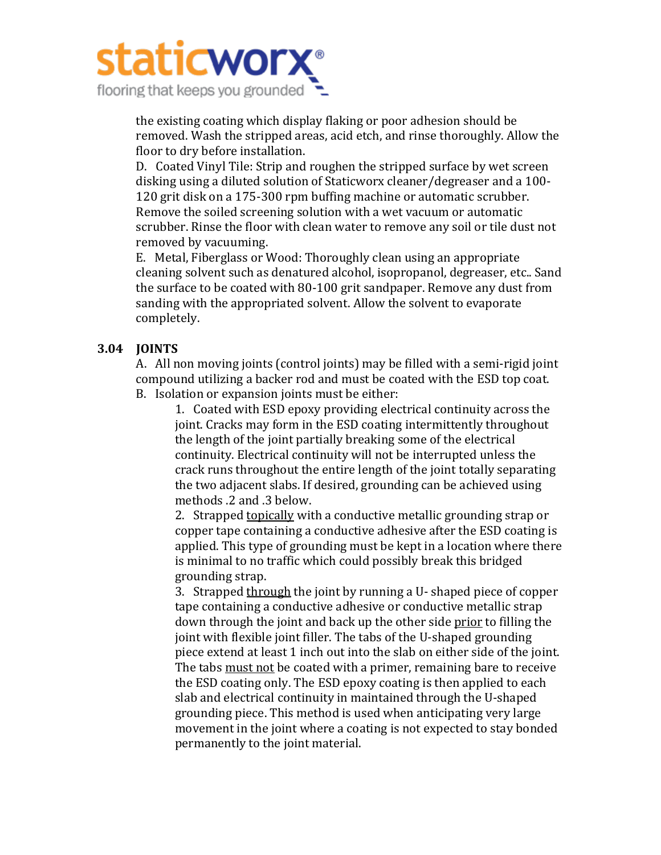

the existing coating which display flaking or poor adhesion should be removed. Wash the stripped areas, acid etch, and rinse thoroughly. Allow the floor to dry before installation.

D. Coated Vinyl Tile: Strip and roughen the stripped surface by wet screen disking using a diluted solution of Staticworx cleaner/degreaser and a 100-120 grit disk on a 175-300 rpm buffing machine or automatic scrubber. Remove the soiled screening solution with a wet vacuum or automatic scrubber. Rinse the floor with clean water to remove any soil or tile dust not removed by vacuuming.

E. Metal, Fiberglass or Wood: Thoroughly clean using an appropriate cleaning solvent such as denatured alcohol, isopropanol, degreaser, etc.. Sand the surface to be coated with 80-100 grit sandpaper. Remove any dust from sanding with the appropriated solvent. Allow the solvent to evaporate completely.

#### **3.04 JOINTS**

A. All non moving joints (control joints) may be filled with a semi-rigid joint compound utilizing a backer rod and must be coated with the ESD top coat. B. Isolation or expansion joints must be either:

1. Coated with ESD epoxy providing electrical continuity across the joint. Cracks may form in the ESD coating intermittently throughout the length of the joint partially breaking some of the electrical continuity. Electrical continuity will not be interrupted unless the crack runs throughout the entire length of the joint totally separating the two adjacent slabs. If desired, grounding can be achieved using methods .2 and .3 below.

2. Strapped topically with a conductive metallic grounding strap or copper tape containing a conductive adhesive after the ESD coating is applied. This type of grounding must be kept in a location where there is minimal to no traffic which could possibly break this bridged grounding strap.

3. Strapped through the joint by running a U- shaped piece of copper tape containing a conductive adhesive or conductive metallic strap down through the joint and back up the other side prior to filling the joint with flexible joint filler. The tabs of the U-shaped grounding piece extend at least 1 inch out into the slab on either side of the joint. The tabs must not be coated with a primer, remaining bare to receive the ESD coating only. The ESD epoxy coating is then applied to each slab and electrical continuity in maintained through the U-shaped grounding piece. This method is used when anticipating very large movement in the joint where a coating is not expected to stay bonded permanently to the joint material.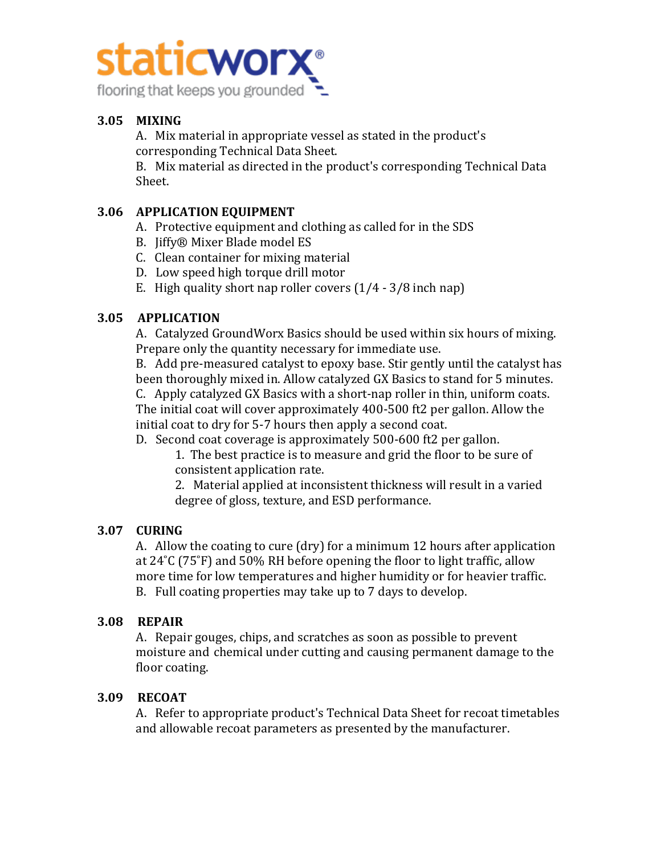

# **3.05 MIXING**

A. Mix material in appropriate vessel as stated in the product's corresponding Technical Data Sheet.

B. Mix material as directed in the product's corresponding Technical Data Sheet.

#### **3.06 APPLICATION EQUIPMENT**

- A. Protective equipment and clothing as called for in the SDS
- B. Jiffy® Mixer Blade model ES
- C. Clean container for mixing material
- D. Low speed high torque drill motor
- E. High quality short nap roller covers  $(1/4 3/8$  inch nap)

# **3.05 APPLICATION**

A. Catalyzed GroundWorx Basics should be used within six hours of mixing. Prepare only the quantity necessary for immediate use.

B. Add pre-measured catalyst to epoxy base. Stir gently until the catalyst has been thoroughly mixed in. Allow catalyzed GX Basics to stand for 5 minutes. C. Apply catalyzed GX Basics with a short-nap roller in thin, uniform coats. The initial coat will cover approximately 400-500 ft2 per gallon. Allow the initial coat to dry for 5-7 hours then apply a second coat.

D. Second coat coverage is approximately 500-600 ft2 per gallon.

1. The best practice is to measure and grid the floor to be sure of consistent application rate.

2. Material applied at inconsistent thickness will result in a varied degree of gloss, texture, and ESD performance.

#### **3.07 CURING**

A. Allow the coating to cure (dry) for a minimum 12 hours after application at  $24^{\circ}$ C (75 $^{\circ}$ F) and 50% RH before opening the floor to light traffic, allow more time for low temperatures and higher humidity or for heavier traffic. B. Full coating properties may take up to 7 days to develop.

#### **3.08 REPAIR**

A. Repair gouges, chips, and scratches as soon as possible to prevent moisture and chemical under cutting and causing permanent damage to the floor coating.

# **3.09 RECOAT**

A. Refer to appropriate product's Technical Data Sheet for recoat timetables and allowable recoat parameters as presented by the manufacturer.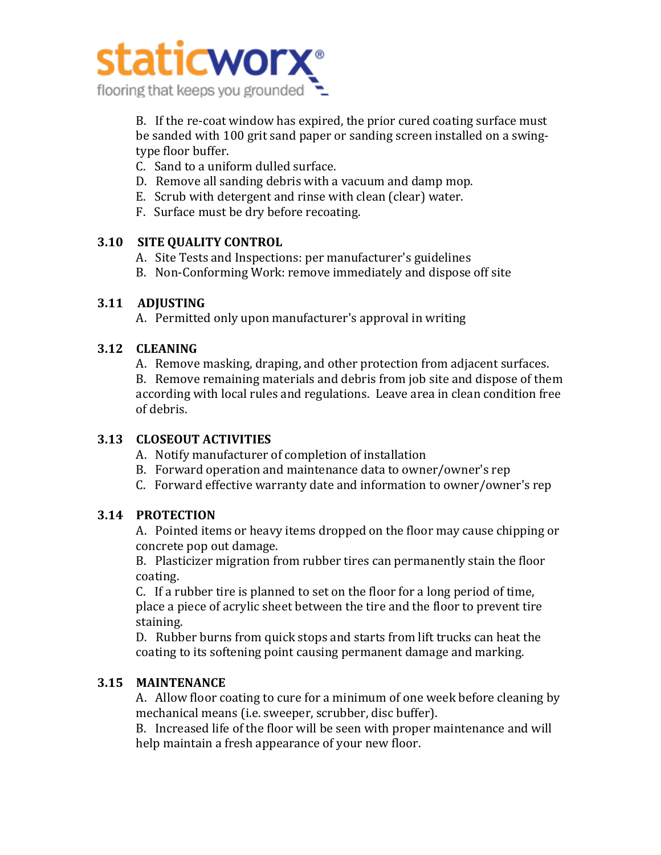

B. If the re-coat window has expired, the prior cured coating surface must be sanded with 100 grit sand paper or sanding screen installed on a swingtype floor buffer.

- C. Sand to a uniform dulled surface.
- D. Remove all sanding debris with a vacuum and damp mop.
- E. Scrub with detergent and rinse with clean (clear) water.
- F. Surface must be dry before recoating.

### **3.10 SITE QUALITY CONTROL**

- A. Site Tests and Inspections: per manufacturer's guidelines
- B. Non-Conforming Work: remove immediately and dispose off site

#### **3.11 ADJUSTING**

A. Permitted only upon manufacturer's approval in writing

### **3.12 CLEANING**

A. Remove masking, draping, and other protection from adjacent surfaces.

B. Remove remaining materials and debris from job site and dispose of them according with local rules and regulations. Leave area in clean condition free of debris.

# **3.13 CLOSEOUT ACTIVITIES**

- A. Notify manufacturer of completion of installation
- B. Forward operation and maintenance data to owner/owner's rep
- C. Forward effective warranty date and information to owner/owner's rep

# **3.14 PROTECTION**

A. Pointed items or heavy items dropped on the floor may cause chipping or concrete pop out damage.

B. Plasticizer migration from rubber tires can permanently stain the floor coating.

C. If a rubber tire is planned to set on the floor for a long period of time, place a piece of acrylic sheet between the tire and the floor to prevent tire staining. 

D. Rubber burns from quick stops and starts from lift trucks can heat the coating to its softening point causing permanent damage and marking.

# **3.15 MAINTENANCE**

A. Allow floor coating to cure for a minimum of one week before cleaning by mechanical means (i.e. sweeper, scrubber, disc buffer).

B. Increased life of the floor will be seen with proper maintenance and will help maintain a fresh appearance of your new floor.